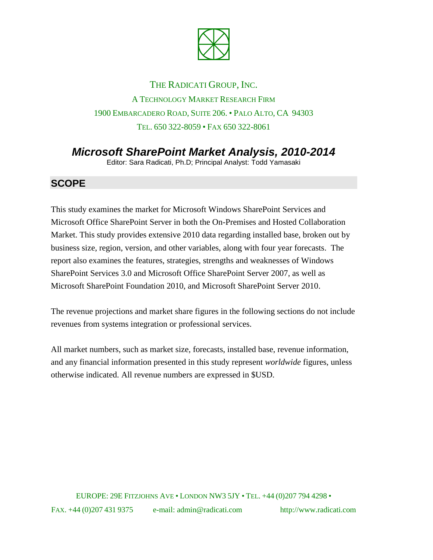

## THE RADICATI GROUP, INC. A TECHNOLOGY MARKET RESEARCH FIRM 1900 EMBARCADERO ROAD, SUITE 206. • PALO ALTO, CA 94303 TEL. 650 322-8059 • FAX 650 322-8061

# *Microsoft SharePoint Market Analysis, 2010-2014*

Editor: Sara Radicati, Ph.D; Principal Analyst: Todd Yamasaki

#### **SCOPE**

This study examines the market for Microsoft Windows SharePoint Services and Microsoft Office SharePoint Server in both the On-Premises and Hosted Collaboration Market. This study provides extensive 2010 data regarding installed base, broken out by business size, region, version, and other variables, along with four year forecasts. The report also examines the features, strategies, strengths and weaknesses of Windows SharePoint Services 3.0 and Microsoft Office SharePoint Server 2007, as well as Microsoft SharePoint Foundation 2010, and Microsoft SharePoint Server 2010.

The revenue projections and market share figures in the following sections do not include revenues from systems integration or professional services.

All market numbers, such as market size, forecasts, installed base, revenue information, and any financial information presented in this study represent *worldwide* figures, unless otherwise indicated. All revenue numbers are expressed in \$USD.

EUROPE: 29E FITZJOHNS AVE • LONDON NW3 5JY • TEL. +44 (0)207 794 4298 • FAX. +44 (0)207 431 9375 e-mail: admin@radicati.com http://www.radicati.com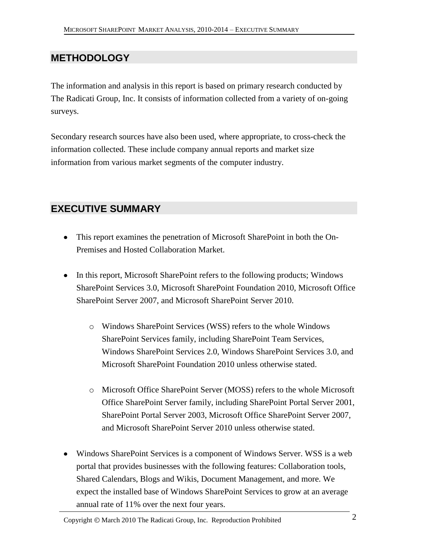## **METHODOLOGY**

The information and analysis in this report is based on primary research conducted by The Radicati Group, Inc. It consists of information collected from a variety of on-going surveys.

Secondary research sources have also been used, where appropriate, to cross-check the information collected. These include company annual reports and market size information from various market segments of the computer industry.

### **EXECUTIVE SUMMARY**

- This report examines the penetration of Microsoft SharePoint in both the On-Premises and Hosted Collaboration Market.
- In this report, Microsoft SharePoint refers to the following products; Windows SharePoint Services 3.0, Microsoft SharePoint Foundation 2010, Microsoft Office SharePoint Server 2007, and Microsoft SharePoint Server 2010.
	- o Windows SharePoint Services (WSS) refers to the whole Windows SharePoint Services family, including SharePoint Team Services, Windows SharePoint Services 2.0, Windows SharePoint Services 3.0, and Microsoft SharePoint Foundation 2010 unless otherwise stated.
	- o Microsoft Office SharePoint Server (MOSS) refers to the whole Microsoft Office SharePoint Server family, including SharePoint Portal Server 2001, SharePoint Portal Server 2003, Microsoft Office SharePoint Server 2007, and Microsoft SharePoint Server 2010 unless otherwise stated.
- Windows SharePoint Services is a component of Windows Server. WSS is a web portal that provides businesses with the following features: Collaboration tools, Shared Calendars, Blogs and Wikis, Document Management, and more. We expect the installed base of Windows SharePoint Services to grow at an average annual rate of 11% over the next four years.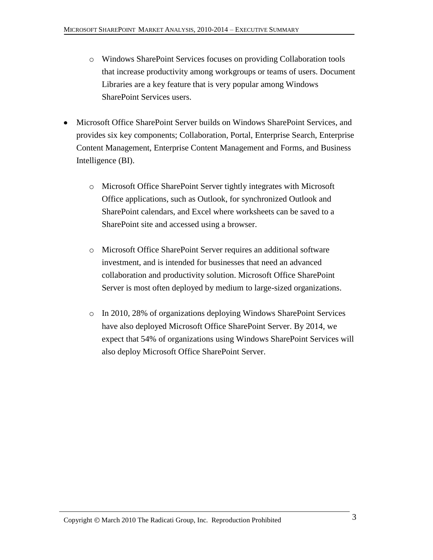- o Windows SharePoint Services focuses on providing Collaboration tools that increase productivity among workgroups or teams of users. Document Libraries are a key feature that is very popular among Windows SharePoint Services users.
- Microsoft Office SharePoint Server builds on Windows SharePoint Services, and provides six key components; Collaboration, Portal, Enterprise Search, Enterprise Content Management, Enterprise Content Management and Forms, and Business Intelligence (BI).
	- o Microsoft Office SharePoint Server tightly integrates with Microsoft Office applications, such as Outlook, for synchronized Outlook and SharePoint calendars, and Excel where worksheets can be saved to a SharePoint site and accessed using a browser.
	- o Microsoft Office SharePoint Server requires an additional software investment, and is intended for businesses that need an advanced collaboration and productivity solution. Microsoft Office SharePoint Server is most often deployed by medium to large-sized organizations.
	- o In 2010, 28% of organizations deploying Windows SharePoint Services have also deployed Microsoft Office SharePoint Server. By 2014, we expect that 54% of organizations using Windows SharePoint Services will also deploy Microsoft Office SharePoint Server.